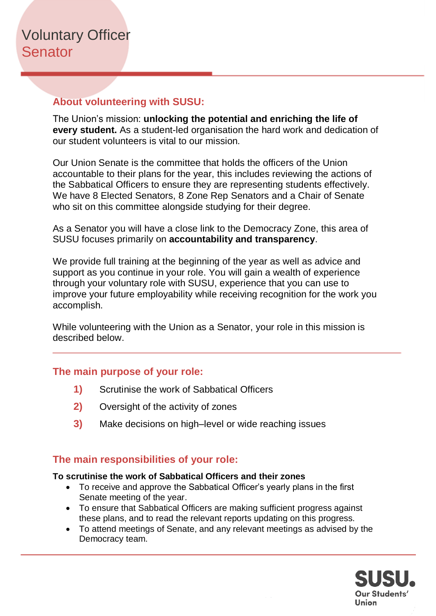## **About volunteering with SUSU:**

The Union's mission: **unlocking the potential and enriching the life of every student.** As a student-led organisation the hard work and dedication of our student volunteers is vital to our mission.

Our Union Senate is the committee that holds the officers of the Union accountable to their plans for the year, this includes reviewing the actions of the Sabbatical Officers to ensure they are representing students effectively. We have 8 Elected Senators, 8 Zone Rep Senators and a Chair of Senate who sit on this committee alongside studying for their degree.

As a Senator you will have a close link to the Democracy Zone, this area of SUSU focuses primarily on **accountability and transparency**.

We provide full training at the beginning of the year as well as advice and support as you continue in your role. You will gain a wealth of experience through your voluntary role with SUSU, experience that you can use to improve your future employability while receiving recognition for the work you accomplish.

While volunteering with the Union as a Senator, your role in this mission is described below.

#### **The main purpose of your role:**

- **1)** Scrutinise the work of Sabbatical Officers
- **2)** Oversight of the activity of zones
- **3)** Make decisions on high–level or wide reaching issues

## **The main responsibilities of your role:**

#### **To scrutinise the work of Sabbatical Officers and their zones**

- To receive and approve the Sabbatical Officer's yearly plans in the first Senate meeting of the year.
- To ensure that Sabbatical Officers are making sufficient progress against these plans, and to read the relevant reports updating on this progress.
- To attend meetings of Senate, and any relevant meetings as advised by the Democracy team.

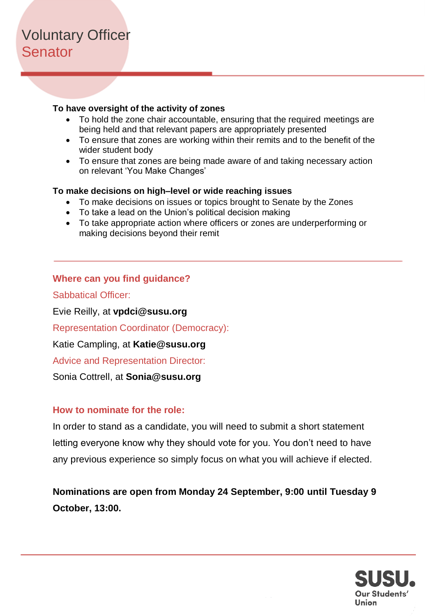# Voluntary Officer **Senator**

#### **To have oversight of the activity of zones**

- To hold the zone chair accountable, ensuring that the required meetings are being held and that relevant papers are appropriately presented
- To ensure that zones are working within their remits and to the benefit of the wider student body
- To ensure that zones are being made aware of and taking necessary action on relevant 'You Make Changes'

#### **To make decisions on high–level or wide reaching issues**

- To make decisions on issues or topics brought to Senate by the Zones
- To take a lead on the Union's political decision making
- To take appropriate action where officers or zones are underperforming or making decisions beyond their remit

#### **Where can you find guidance?**

Sabbatical Officer:

Evie Reilly, at **vpdci@susu.org**

Representation Coordinator (Democracy):

Katie Campling, at **Katie@susu.org**

Advice and Representation Director:

Sonia Cottrell, at **Sonia@susu.org**

#### **How to nominate for the role:**

In order to stand as a candidate, you will need to submit a short statement letting everyone know why they should vote for you. You don't need to have any previous experience so simply focus on what you will achieve if elected.

**Nominations are open from Monday 24 September, 9:00 until Tuesday 9 October, 13:00.** 

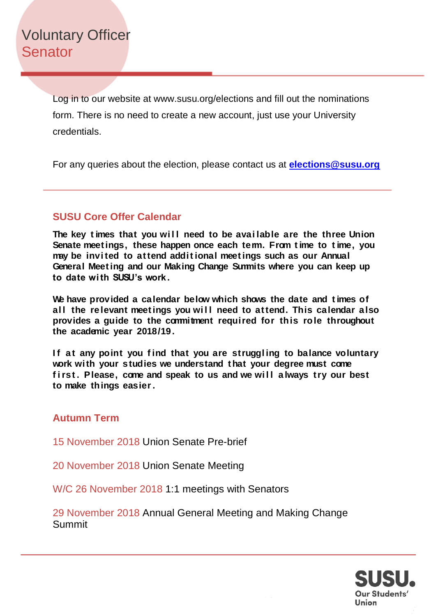Voluntary Officer **Senator** 

> Log in to our website at www.susu.org/elections and fill out the nominations form. There is no need to create a new account, just use your University credentials.

For any queries about the election, please contact us at **[elections@susu.org](mailto:elections@susu.org)**

# **SUSU Core Offer Calendar**

The key times that you will need to be available are the three Union **Senate meet ings, these happen once each term. From t ime to t ime, you may be invi ted to at tend addit ional meet ings such as our Annual General Meet ing and our Making Change Summits where you can keep up to date wi th SUSU's work.**

**We have provided a calendar below which shows the date and t imes of**  all the relevant meetings you will need to attend. This calendar also **provides a guide to the commitment required for this role throughout the academic year 2018/19.**

If at any point you find that you are struggling to balance voluntary **work with your studies we understand t hat your degree must come**  first. Please, come and speak to us and we will always try our best **to make things easier.**

## **Autumn Term**

15 November 2018 Union Senate Pre-brief

20 November 2018 Union Senate Meeting

W/C 26 November 2018 1:1 meetings with Senators

29 November 2018 Annual General Meeting and Making Change Summit